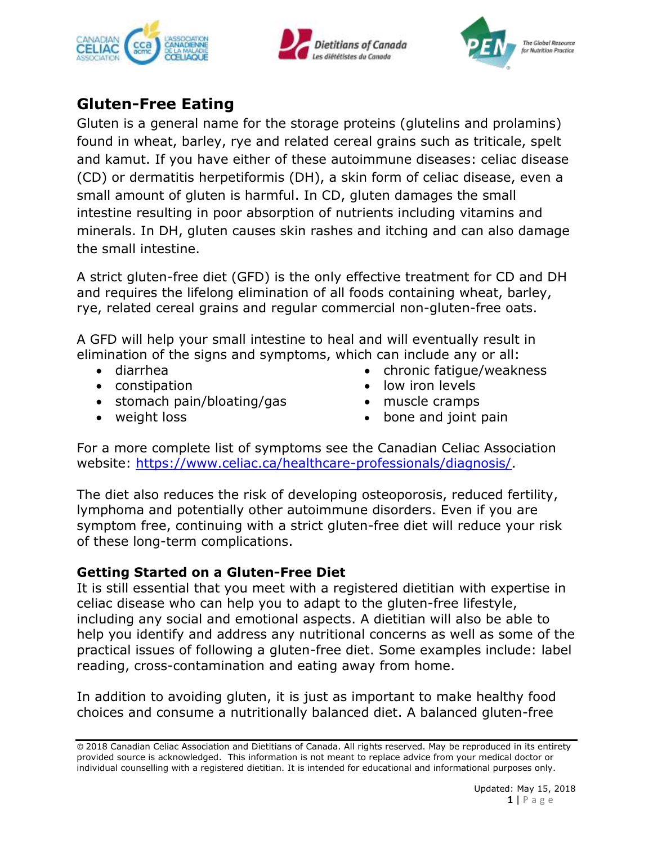





# **Gluten-Free Eating**

Gluten is a general name for the storage proteins (glutelins and prolamins) found in wheat, barley, rye and related cereal grains such as triticale, spelt and kamut. If you have either of these autoimmune diseases: celiac disease (CD) or dermatitis herpetiformis (DH), a skin form of celiac disease, even a small amount of gluten is harmful. In CD, gluten damages the small intestine resulting in poor absorption of nutrients including vitamins and minerals. In DH, gluten causes skin rashes and itching and can also damage the small intestine.

A strict gluten-free diet (GFD) is the only effective treatment for CD and DH and requires the lifelong elimination of all foods containing wheat, barley, rye, related cereal grains and regular commercial non-gluten-free oats.

A GFD will help your small intestine to heal and will eventually result in elimination of the signs and symptoms, which can include any or all:

- diarrhea
- constipation
- stomach pain/bloating/gas
- weight loss
- chronic fatique/weakness
- low iron levels
- muscle cramps
- bone and joint pain

For a more complete list of symptoms see the Canadian Celiac Association website: [https://www.celiac.ca/healthcare-professionals/diagnosis/.](https://www.celiac.ca/healthcare-professionals/diagnosis/)

The diet also reduces the risk of developing osteoporosis, reduced fertility, lymphoma and potentially other autoimmune disorders. Even if you are symptom free, continuing with a strict gluten-free diet will reduce your risk of these long-term complications.

## **Getting Started on a Gluten-Free Diet**

It is still essential that you meet with a registered dietitian with expertise in celiac disease who can help you to adapt to the gluten-free lifestyle, including any social and emotional aspects. A dietitian will also be able to help you identify and address any nutritional concerns as well as some of the practical issues of following a gluten-free diet. Some examples include: label reading, cross-contamination and eating away from home.

In addition to avoiding gluten, it is just as important to make healthy food choices and consume a nutritionally balanced diet. A balanced gluten-free

<sup>©</sup> 2018 Canadian Celiac Association and Dietitians of Canada. All rights reserved. May be reproduced in its entirety provided source is acknowledged. This information is not meant to replace advice from your medical doctor or individual counselling with a registered dietitian. It is intended for educational and informational purposes only.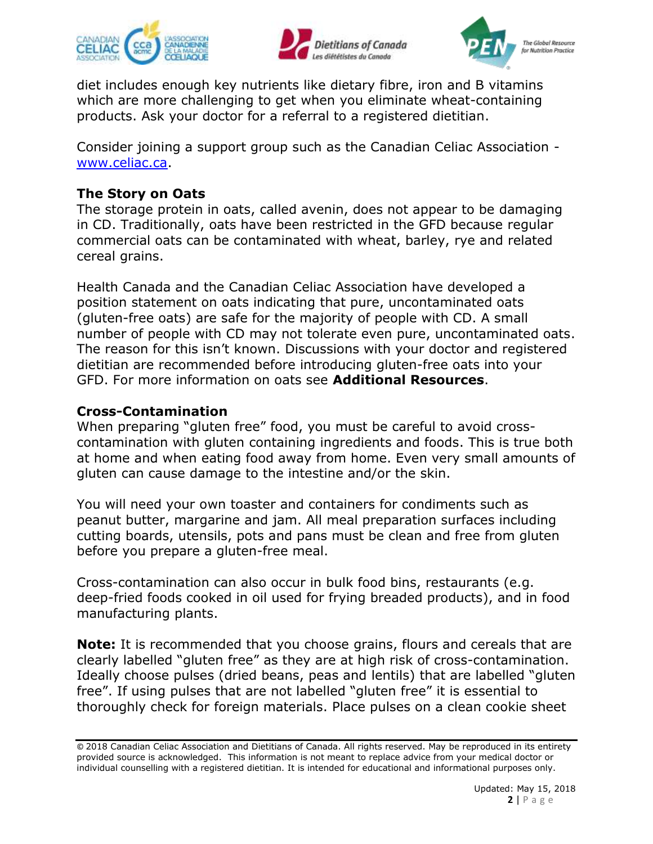





diet includes enough key nutrients like dietary fibre, iron and B vitamins which are more challenging to get when you eliminate wheat-containing products. Ask your doctor for a referral to a registered dietitian.

Consider joining a support group such as the Canadian Celiac Association [www.celiac.ca.](http://www.celiac.ca/)

## **The Story on Oats**

The storage protein in oats, called avenin, does not appear to be damaging in CD. Traditionally, oats have been restricted in the GFD because regular commercial oats can be contaminated with wheat, barley, rye and related cereal grains.

Health Canada and the Canadian Celiac Association have developed a position statement on oats indicating that pure, uncontaminated oats (gluten-free oats) are safe for the majority of people with CD. A small number of people with CD may not tolerate even pure, uncontaminated oats. The reason for this isn't known. Discussions with your doctor and registered dietitian are recommended before introducing gluten-free oats into your GFD. For more information on oats see **Additional Resources**.

## **Cross-Contamination**

When preparing "gluten free" food, you must be careful to avoid crosscontamination with gluten containing ingredients and foods. This is true both at home and when eating food away from home. Even very small amounts of gluten can cause damage to the intestine and/or the skin.

You will need your own toaster and containers for condiments such as peanut butter, margarine and jam. All meal preparation surfaces including cutting boards, utensils, pots and pans must be clean and free from gluten before you prepare a gluten-free meal.

Cross-contamination can also occur in bulk food bins, restaurants (e.g. deep-fried foods cooked in oil used for frying breaded products), and in food manufacturing plants.

**Note:** It is recommended that you choose grains, flours and cereals that are clearly labelled "gluten free" as they are at high risk of cross-contamination. Ideally choose pulses (dried beans, peas and lentils) that are labelled "gluten free". If using pulses that are not labelled "gluten free" it is essential to thoroughly check for foreign materials. Place pulses on a clean cookie sheet

<sup>©</sup> 2018 Canadian Celiac Association and Dietitians of Canada. All rights reserved. May be reproduced in its entirety provided source is acknowledged. This information is not meant to replace advice from your medical doctor or individual counselling with a registered dietitian. It is intended for educational and informational purposes only.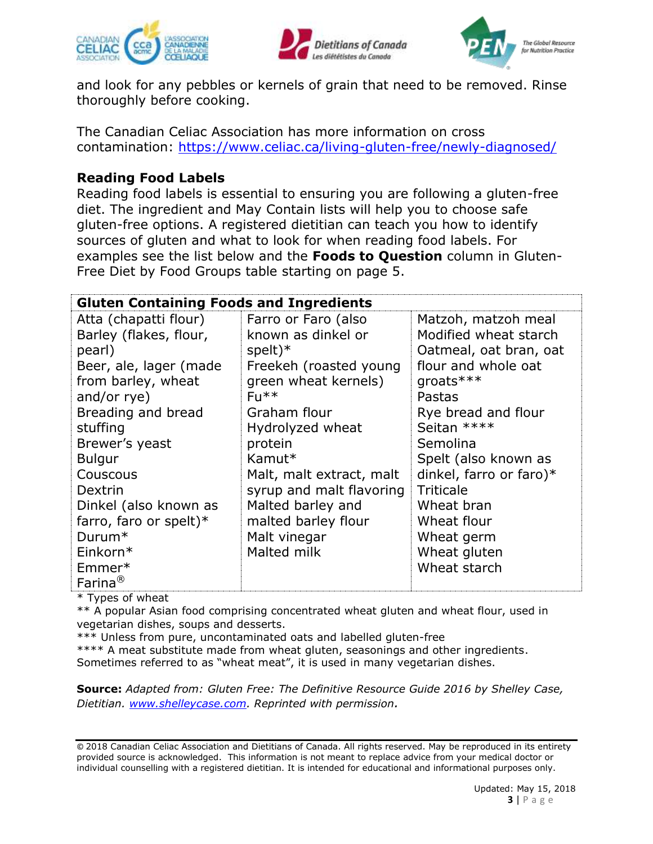





and look for any pebbles or kernels of grain that need to be removed. Rinse thoroughly before cooking.

The Canadian Celiac Association has more information on cross contamination:<https://www.celiac.ca/living-gluten-free/newly-diagnosed/>

## **Reading Food Labels**

Reading food labels is essential to ensuring you are following a gluten-free diet. The ingredient and May Contain lists will help you to choose safe gluten-free options. A registered dietitian can teach you how to identify sources of gluten and what to look for when reading food labels. For examples see the list below and the **Foods to Question** column in Gluten-Free Diet by Food Groups table starting on page 5.

| <b>Gluten Containing Foods and Ingredients</b> |                          |                         |  |  |
|------------------------------------------------|--------------------------|-------------------------|--|--|
| Atta (chapatti flour)                          | Farro or Faro (also      | Matzoh, matzoh meal     |  |  |
| Barley (flakes, flour,                         | known as dinkel or       | Modified wheat starch   |  |  |
| pearl)                                         | $spelt)*$                | Oatmeal, oat bran, oat  |  |  |
| Beer, ale, lager (made                         | Freekeh (roasted young   | flour and whole oat     |  |  |
| from barley, wheat                             | green wheat kernels)     | groats***               |  |  |
| and/or rye)                                    | $F_{11}$ **              | Pastas                  |  |  |
| Breading and bread                             | Graham flour             | Rye bread and flour     |  |  |
| stuffing                                       | Hydrolyzed wheat         | Seitan ****             |  |  |
| Brewer's yeast                                 | protein                  | Semolina                |  |  |
| <b>Bulgur</b>                                  | Kamut*                   | Spelt (also known as    |  |  |
| Couscous                                       | Malt, malt extract, malt | dinkel, farro or faro)* |  |  |
| Dextrin                                        | syrup and malt flavoring | <b>Triticale</b>        |  |  |
| Dinkel (also known as                          | Malted barley and        | Wheat bran              |  |  |
| farro, faro or spelt) $*$                      | malted barley flour      | Wheat flour             |  |  |
| $Durum*$                                       | Malt vinegar             | Wheat germ              |  |  |
| Einkorn*                                       | Malted milk              | Wheat gluten            |  |  |
| Emmer*                                         |                          | Wheat starch            |  |  |
| Farina $^{\circledR}$                          |                          |                         |  |  |

\* Types of wheat

\*\* A popular Asian food comprising concentrated wheat gluten and wheat flour, used in vegetarian dishes, soups and desserts.

\*\*\* Unless from pure, uncontaminated oats and labelled gluten-free \*\*\*\* A meat substitute made from wheat gluten, seasonings and other ingredients. Sometimes referred to as "wheat meat", it is used in many vegetarian dishes.

**Source:** *Adapted from: Gluten Free: The Definitive Resource Guide 2016 by Shelley Case, Dietitian. [www.shelleycase.com.](http://www.shelleycase.com/) Reprinted with permission.*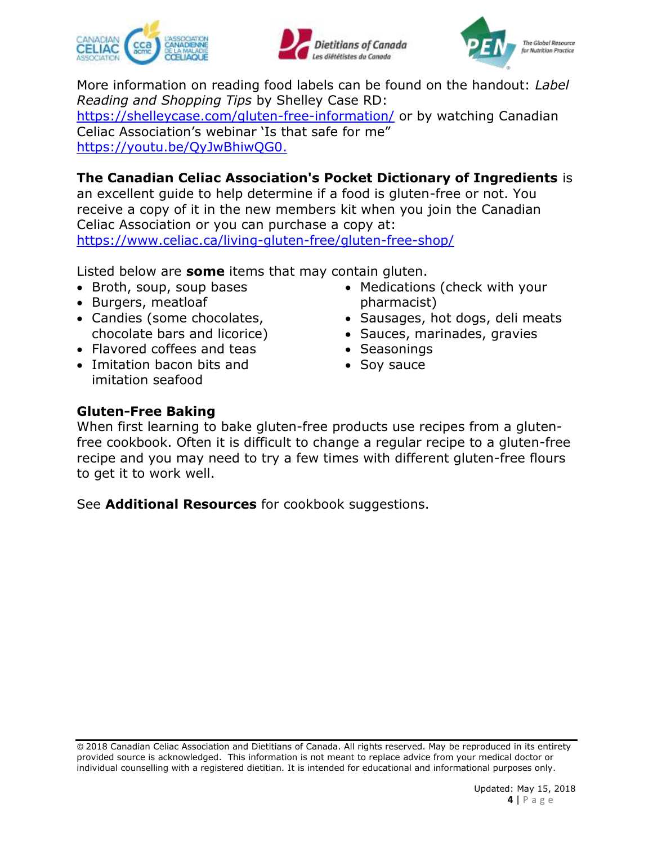





More information on reading food labels can be found on the handout: *Label Reading and Shopping Tips* by Shelley Case RD:

<https://shelleycase.com/gluten-free-information/> or by watching Canadian Celiac Association's webinar 'Is that safe for me" [https://youtu.be/QyJwBhiwQG0.](https://youtu.be/QyJwBhiwQG0)

## **The Canadian Celiac Association's Pocket Dictionary of Ingredients** is

an excellent guide to help determine if a food is gluten-free or not. You receive a copy of it in the new members kit when you join the Canadian Celiac Association or you can purchase a copy at: <https://www.celiac.ca/living-gluten-free/gluten-free-shop/>

Listed below are **some** items that may contain gluten.

- Broth, soup, soup bases
- Burgers, meatloaf
- Candies (some chocolates, chocolate bars and licorice)
- Flavored coffees and teas
- Imitation bacon bits and imitation seafood
- Medications (check with your pharmacist)
- Sausages, hot dogs, deli meats
- Sauces, marinades, gravies
- Seasonings
- Soy sauce

## **Gluten-Free Baking**

When first learning to bake gluten-free products use recipes from a glutenfree cookbook. Often it is difficult to change a regular recipe to a gluten-free recipe and you may need to try a few times with different gluten-free flours to get it to work well.

See **Additional Resources** for cookbook suggestions.

<sup>©</sup> 2018 Canadian Celiac Association and Dietitians of Canada. All rights reserved. May be reproduced in its entirety provided source is acknowledged. This information is not meant to replace advice from your medical doctor or individual counselling with a registered dietitian. It is intended for educational and informational purposes only.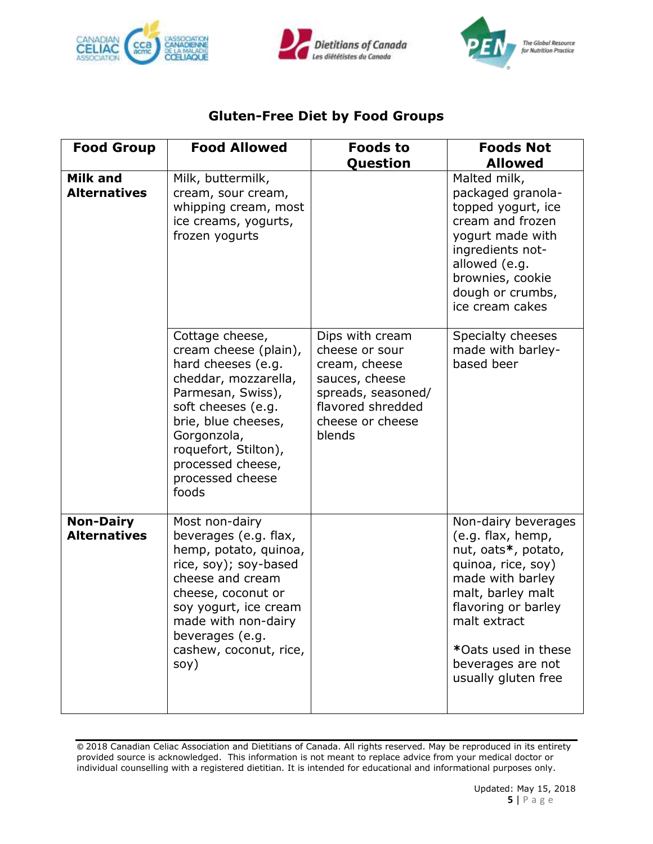





## **Gluten-Free Diet by Food Groups**

| <b>Food Group</b>                       | <b>Food Allowed</b>                                                                                                                                                                                                                               | <b>Foods to</b><br>Question                                                                                                                   | <b>Foods Not</b><br><b>Allowed</b>                                                                                                                                                                                                       |
|-----------------------------------------|---------------------------------------------------------------------------------------------------------------------------------------------------------------------------------------------------------------------------------------------------|-----------------------------------------------------------------------------------------------------------------------------------------------|------------------------------------------------------------------------------------------------------------------------------------------------------------------------------------------------------------------------------------------|
| <b>Milk and</b><br><b>Alternatives</b>  | Milk, buttermilk,<br>cream, sour cream,<br>whipping cream, most<br>ice creams, yogurts,<br>frozen yogurts                                                                                                                                         |                                                                                                                                               | Malted milk,<br>packaged granola-<br>topped yogurt, ice<br>cream and frozen<br>yogurt made with<br>ingredients not-<br>allowed (e.g.<br>brownies, cookie<br>dough or crumbs,<br>ice cream cakes                                          |
|                                         | Cottage cheese,<br>cream cheese (plain),<br>hard cheeses (e.g.<br>cheddar, mozzarella,<br>Parmesan, Swiss),<br>soft cheeses (e.g.<br>brie, blue cheeses,<br>Gorgonzola,<br>roquefort, Stilton),<br>processed cheese,<br>processed cheese<br>foods | Dips with cream<br>cheese or sour<br>cream, cheese<br>sauces, cheese<br>spreads, seasoned/<br>flavored shredded<br>cheese or cheese<br>blends | Specialty cheeses<br>made with barley-<br>based beer                                                                                                                                                                                     |
| <b>Non-Dairy</b><br><b>Alternatives</b> | Most non-dairy<br>beverages (e.g. flax,<br>hemp, potato, quinoa,<br>rice, soy); soy-based<br>cheese and cream<br>cheese, coconut or<br>soy yogurt, ice cream<br>made with non-dairy<br>beverages (e.g.<br>cashew, coconut, rice,<br>soy)          |                                                                                                                                               | Non-dairy beverages<br>(e.g. flax, hemp,<br>nut, oats*, potato,<br>quinoa, rice, soy)<br>made with barley<br>malt, barley malt<br>flavoring or barley<br>malt extract<br>*Oats used in these<br>beverages are not<br>usually gluten free |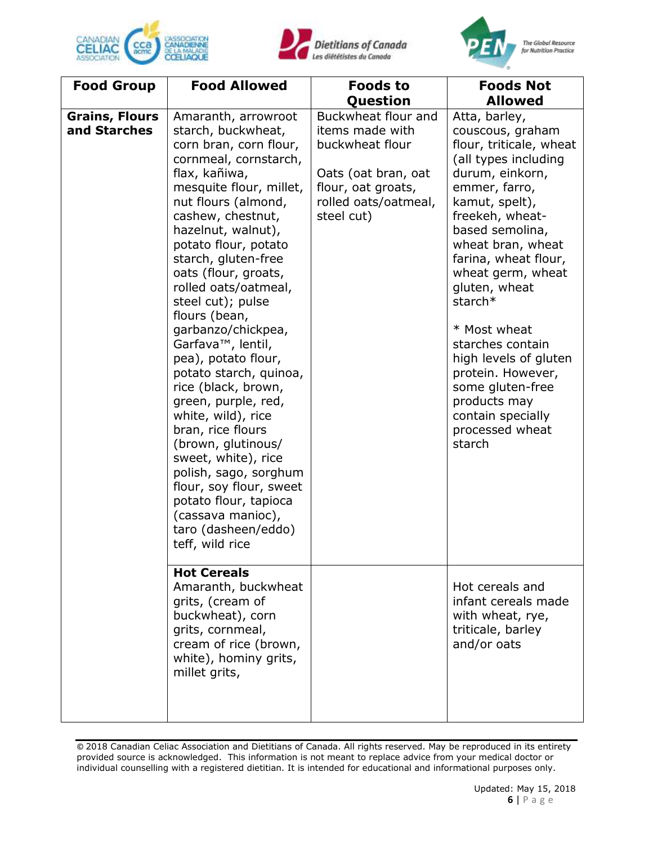





| <b>Food Group</b>                     | <b>Food Allowed</b>                                                                                                                                                                                                                                                                                                                                                                                                                                                                                                                                                                                                                                                                                                                        | <b>Foods to</b>                                                                                                                              | <b>Foods Not</b>                                                                                                                                                                                                                                                                                                                                                                                                                                       |
|---------------------------------------|--------------------------------------------------------------------------------------------------------------------------------------------------------------------------------------------------------------------------------------------------------------------------------------------------------------------------------------------------------------------------------------------------------------------------------------------------------------------------------------------------------------------------------------------------------------------------------------------------------------------------------------------------------------------------------------------------------------------------------------------|----------------------------------------------------------------------------------------------------------------------------------------------|--------------------------------------------------------------------------------------------------------------------------------------------------------------------------------------------------------------------------------------------------------------------------------------------------------------------------------------------------------------------------------------------------------------------------------------------------------|
|                                       |                                                                                                                                                                                                                                                                                                                                                                                                                                                                                                                                                                                                                                                                                                                                            | Question                                                                                                                                     | <b>Allowed</b>                                                                                                                                                                                                                                                                                                                                                                                                                                         |
| <b>Grains, Flours</b><br>and Starches | Amaranth, arrowroot<br>starch, buckwheat,<br>corn bran, corn flour,<br>cornmeal, cornstarch,<br>flax, kañiwa,<br>mesquite flour, millet,<br>nut flours (almond,<br>cashew, chestnut,<br>hazelnut, walnut),<br>potato flour, potato<br>starch, gluten-free<br>oats (flour, groats,<br>rolled oats/oatmeal,<br>steel cut); pulse<br>flours (bean,<br>garbanzo/chickpea,<br>Garfava <sup>™</sup> , lentil,<br>pea), potato flour,<br>potato starch, quinoa,<br>rice (black, brown,<br>green, purple, red,<br>white, wild), rice<br>bran, rice flours<br>(brown, glutinous/<br>sweet, white), rice<br>polish, sago, sorghum<br>flour, soy flour, sweet<br>potato flour, tapioca<br>(cassava manioc),<br>taro (dasheen/eddo)<br>teff, wild rice | Buckwheat flour and<br>items made with<br>buckwheat flour<br>Oats (oat bran, oat<br>flour, oat groats,<br>rolled oats/oatmeal,<br>steel cut) | Atta, barley,<br>couscous, graham<br>flour, triticale, wheat<br>(all types including<br>durum, einkorn,<br>emmer, farro,<br>kamut, spelt),<br>freekeh, wheat-<br>based semolina,<br>wheat bran, wheat<br>farina, wheat flour,<br>wheat germ, wheat<br>gluten, wheat<br>starch*<br>* Most wheat<br>starches contain<br>high levels of gluten<br>protein. However,<br>some gluten-free<br>products may<br>contain specially<br>processed wheat<br>starch |
|                                       | <b>Hot Cereals</b><br>Amaranth, buckwheat<br>grits, (cream of<br>buckwheat), corn<br>grits, cornmeal,<br>cream of rice (brown,<br>white), hominy grits,<br>millet grits,                                                                                                                                                                                                                                                                                                                                                                                                                                                                                                                                                                   |                                                                                                                                              | Hot cereals and<br>infant cereals made<br>with wheat, rye,<br>triticale, barley<br>and/or oats                                                                                                                                                                                                                                                                                                                                                         |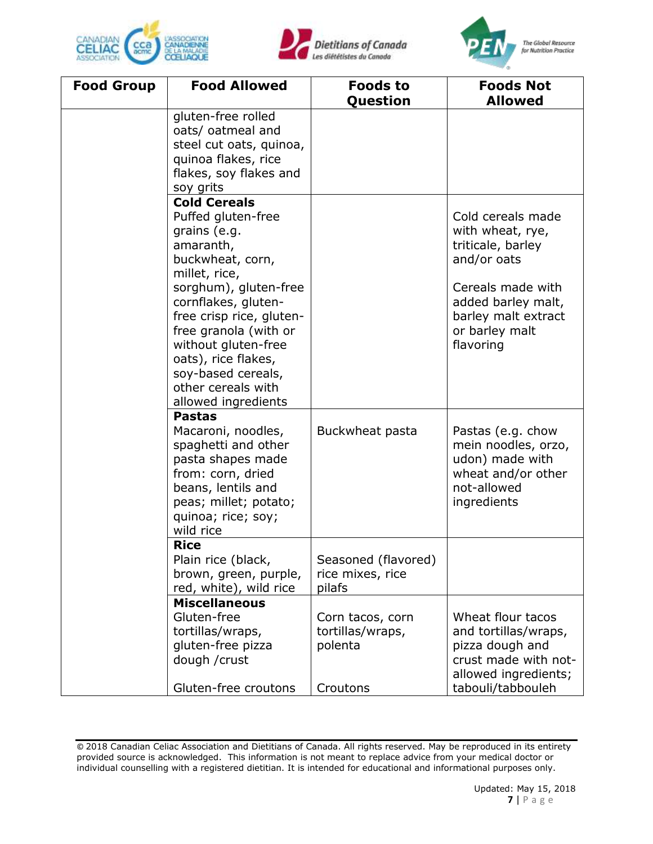





| <b>Food Group</b> | <b>Food Allowed</b>                                                                                                                                                                    | <b>Foods to</b><br>Question                                 | <b>Foods Not</b><br><b>Allowed</b>                                                                                                |
|-------------------|----------------------------------------------------------------------------------------------------------------------------------------------------------------------------------------|-------------------------------------------------------------|-----------------------------------------------------------------------------------------------------------------------------------|
|                   | gluten-free rolled<br>oats/ oatmeal and<br>steel cut oats, quinoa,<br>quinoa flakes, rice<br>flakes, soy flakes and<br>soy grits                                                       |                                                             |                                                                                                                                   |
|                   | <b>Cold Cereals</b><br>Puffed gluten-free<br>grains (e.g.<br>amaranth,<br>buckwheat, corn,<br>millet, rice,<br>sorghum), gluten-free<br>cornflakes, gluten-                            |                                                             | Cold cereals made<br>with wheat, rye,<br>triticale, barley<br>and/or oats<br>Cereals made with<br>added barley malt,              |
|                   | free crisp rice, gluten-<br>free granola (with or<br>without gluten-free<br>oats), rice flakes,<br>soy-based cereals,<br>other cereals with<br>allowed ingredients                     |                                                             | barley malt extract<br>or barley malt<br>flavoring                                                                                |
|                   | <b>Pastas</b><br>Macaroni, noodles,<br>spaghetti and other<br>pasta shapes made<br>from: corn, dried<br>beans, lentils and<br>peas; millet; potato;<br>quinoa; rice; soy;<br>wild rice | Buckwheat pasta                                             | Pastas (e.g. chow<br>mein noodles, orzo,<br>udon) made with<br>wheat and/or other<br>not-allowed<br>ingredients                   |
|                   | <b>Rice</b><br>Plain rice (black,<br>brown, green, purple,<br>red, white), wild rice                                                                                                   | Seasoned (flavored)<br>rice mixes, rice<br>pilafs           |                                                                                                                                   |
|                   | <b>Miscellaneous</b><br>Gluten-free<br>tortillas/wraps,<br>gluten-free pizza<br>dough / crust<br>Gluten-free croutons                                                                  | Corn tacos, corn<br>tortillas/wraps,<br>polenta<br>Croutons | Wheat flour tacos<br>and tortillas/wraps,<br>pizza dough and<br>crust made with not-<br>allowed ingredients;<br>tabouli/tabbouleh |

<sup>©</sup> 2018 Canadian Celiac Association and Dietitians of Canada. All rights reserved. May be reproduced in its entirety provided source is acknowledged. This information is not meant to replace advice from your medical doctor or individual counselling with a registered dietitian. It is intended for educational and informational purposes only.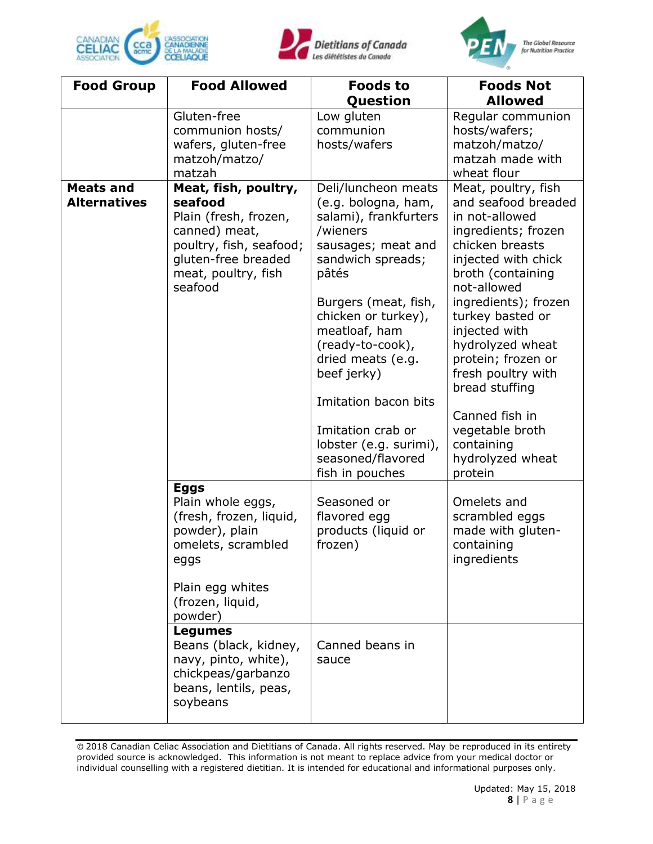





| <b>Food Allowed</b>                                                                                                                                                                                                                                                              | <b>Foods to</b>                                                                                                                                                                                                                                                                                                                                                            | <b>Foods Not</b>                                                                                                                                                                                                                                                                                                                                                                                   |
|----------------------------------------------------------------------------------------------------------------------------------------------------------------------------------------------------------------------------------------------------------------------------------|----------------------------------------------------------------------------------------------------------------------------------------------------------------------------------------------------------------------------------------------------------------------------------------------------------------------------------------------------------------------------|----------------------------------------------------------------------------------------------------------------------------------------------------------------------------------------------------------------------------------------------------------------------------------------------------------------------------------------------------------------------------------------------------|
|                                                                                                                                                                                                                                                                                  |                                                                                                                                                                                                                                                                                                                                                                            | <b>Allowed</b>                                                                                                                                                                                                                                                                                                                                                                                     |
| communion hosts/<br>wafers, gluten-free<br>matzoh/matzo/<br>matzah                                                                                                                                                                                                               | communion<br>hosts/wafers                                                                                                                                                                                                                                                                                                                                                  | Regular communion<br>hosts/wafers;<br>matzoh/matzo/<br>matzah made with<br>wheat flour                                                                                                                                                                                                                                                                                                             |
| Meat, fish, poultry,<br>seafood<br>Plain (fresh, frozen,<br>canned) meat,<br>poultry, fish, seafood;<br>gluten-free breaded<br>meat, poultry, fish<br>seafood                                                                                                                    | Deli/luncheon meats<br>(e.g. bologna, ham,<br>salami), frankfurters<br>/wieners<br>sausages; meat and<br>sandwich spreads;<br>pâtés<br>Burgers (meat, fish,<br>chicken or turkey),<br>meatloaf, ham<br>(ready-to-cook),<br>dried meats (e.g.<br>beef jerky)<br>Imitation bacon bits<br>Imitation crab or<br>lobster (e.g. surimi),<br>seasoned/flavored<br>fish in pouches | Meat, poultry, fish<br>and seafood breaded<br>in not-allowed<br>ingredients; frozen<br>chicken breasts<br>injected with chick<br>broth (containing<br>not-allowed<br>ingredients); frozen<br>turkey basted or<br>injected with<br>hydrolyzed wheat<br>protein; frozen or<br>fresh poultry with<br>bread stuffing<br>Canned fish in<br>vegetable broth<br>containing<br>hydrolyzed wheat<br>protein |
| <b>Eggs</b><br>Plain whole eggs,<br>(fresh, frozen, liquid,<br>powder), plain<br>omelets, scrambled<br>eggs<br>Plain egg whites<br>(frozen, liquid,<br>powder)<br><b>Legumes</b><br>Beans (black, kidney,<br>navy, pinto, white),<br>chickpeas/garbanzo<br>beans, lentils, peas, | Seasoned or<br>flavored egg<br>products (liquid or<br>frozen)<br>Canned beans in<br>sauce                                                                                                                                                                                                                                                                                  | Omelets and<br>scrambled eggs<br>made with gluten-<br>containing<br>ingredients                                                                                                                                                                                                                                                                                                                    |
|                                                                                                                                                                                                                                                                                  | Gluten-free<br>soybeans                                                                                                                                                                                                                                                                                                                                                    | Question<br>Low gluten                                                                                                                                                                                                                                                                                                                                                                             |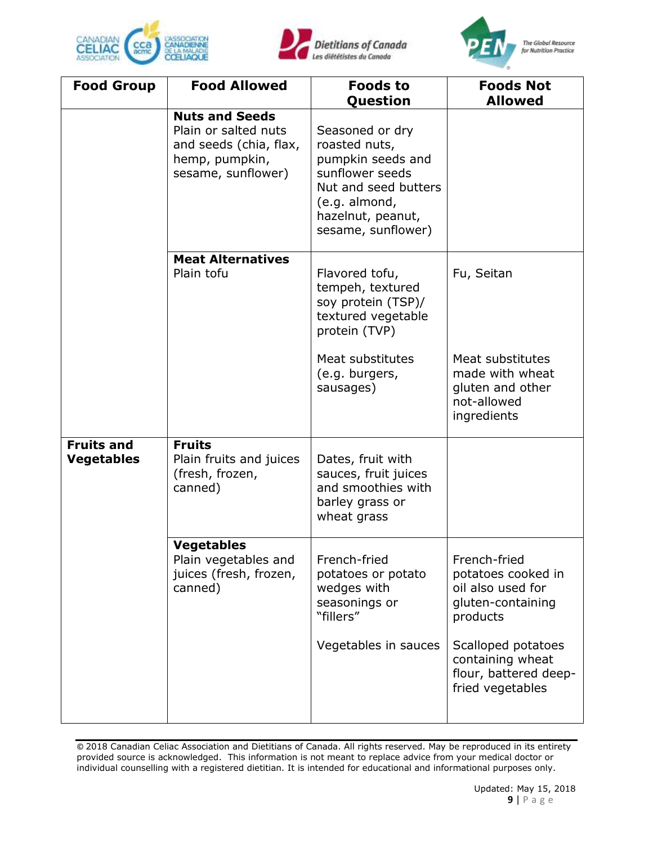





| <b>Food Group</b>                      | <b>Food Allowed</b>                                                                                             | <b>Foods to</b><br>Question                                                                                                                                  | <b>Foods Not</b><br><b>Allowed</b>                                                       |
|----------------------------------------|-----------------------------------------------------------------------------------------------------------------|--------------------------------------------------------------------------------------------------------------------------------------------------------------|------------------------------------------------------------------------------------------|
|                                        | <b>Nuts and Seeds</b><br>Plain or salted nuts<br>and seeds (chia, flax,<br>hemp, pumpkin,<br>sesame, sunflower) | Seasoned or dry<br>roasted nuts,<br>pumpkin seeds and<br>sunflower seeds<br>Nut and seed butters<br>(e.g. almond,<br>hazelnut, peanut,<br>sesame, sunflower) |                                                                                          |
|                                        | <b>Meat Alternatives</b><br>Plain tofu                                                                          | Flavored tofu,<br>tempeh, textured<br>soy protein (TSP)/<br>textured vegetable<br>protein (TVP)                                                              | Fu, Seitan                                                                               |
|                                        |                                                                                                                 | Meat substitutes<br>(e.g. burgers,<br>sausages)                                                                                                              | Meat substitutes<br>made with wheat<br>gluten and other<br>not-allowed<br>ingredients    |
| <b>Fruits and</b><br><b>Vegetables</b> | <b>Fruits</b><br>Plain fruits and juices<br>(fresh, frozen,<br>canned)                                          | Dates, fruit with<br>sauces, fruit juices<br>and smoothies with<br>barley grass or<br>wheat grass                                                            |                                                                                          |
|                                        | <b>Vegetables</b><br>Plain vegetables and<br>juices (fresh, frozen,<br>canned)                                  | French-fried<br>potatoes or potato<br>wedges with<br>seasonings or<br>"fillers"                                                                              | French-fried<br>potatoes cooked in<br>oil also used for<br>gluten-containing<br>products |
|                                        |                                                                                                                 | Vegetables in sauces                                                                                                                                         | Scalloped potatoes<br>containing wheat<br>flour, battered deep-<br>fried vegetables      |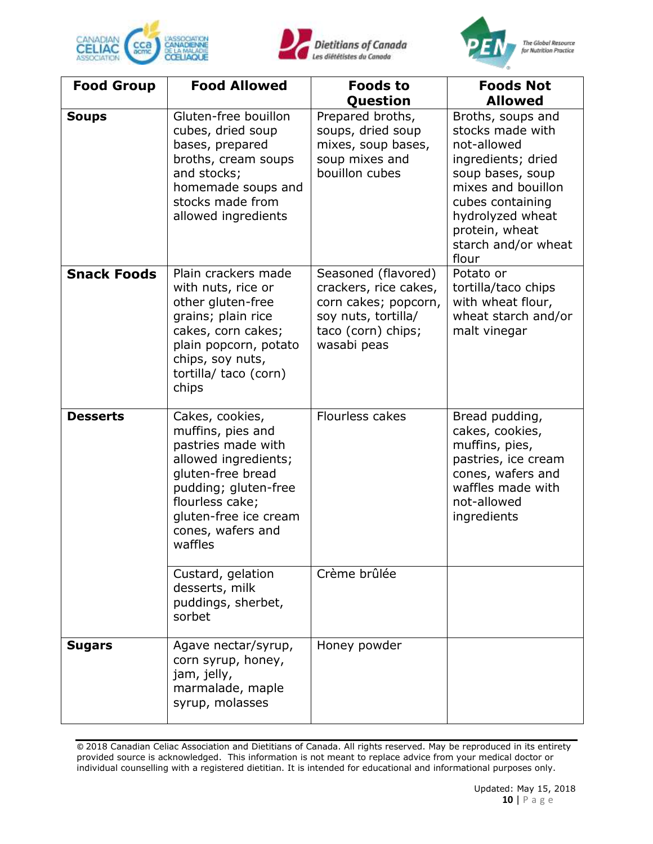





| <b>Food Group</b>  | <b>Food Allowed</b>                                                                                                                                                                                         | <b>Foods to</b><br>Question                                                                                                      | <b>Foods Not</b><br><b>Allowed</b>                                                                                                                                                                             |
|--------------------|-------------------------------------------------------------------------------------------------------------------------------------------------------------------------------------------------------------|----------------------------------------------------------------------------------------------------------------------------------|----------------------------------------------------------------------------------------------------------------------------------------------------------------------------------------------------------------|
| <b>Soups</b>       | Gluten-free bouillon<br>cubes, dried soup<br>bases, prepared<br>broths, cream soups<br>and stocks;<br>homemade soups and<br>stocks made from<br>allowed ingredients                                         | Prepared broths,<br>soups, dried soup<br>mixes, soup bases,<br>soup mixes and<br>bouillon cubes                                  | Broths, soups and<br>stocks made with<br>not-allowed<br>ingredients; dried<br>soup bases, soup<br>mixes and bouillon<br>cubes containing<br>hydrolyzed wheat<br>protein, wheat<br>starch and/or wheat<br>flour |
| <b>Snack Foods</b> | Plain crackers made<br>with nuts, rice or<br>other gluten-free<br>grains; plain rice<br>cakes, corn cakes;<br>plain popcorn, potato<br>chips, soy nuts,<br>tortilla/ taco (corn)<br>chips                   | Seasoned (flavored)<br>crackers, rice cakes,<br>corn cakes; popcorn,<br>soy nuts, tortilla/<br>taco (corn) chips;<br>wasabi peas | Potato or<br>tortilla/taco chips<br>with wheat flour,<br>wheat starch and/or<br>malt vinegar                                                                                                                   |
| <b>Desserts</b>    | Cakes, cookies,<br>muffins, pies and<br>pastries made with<br>allowed ingredients;<br>gluten-free bread<br>pudding; gluten-free<br>flourless cake;<br>gluten-free ice cream<br>cones, wafers and<br>waffles | Flourless cakes                                                                                                                  | Bread pudding,<br>cakes, cookies,<br>muffins, pies,<br>pastries, ice cream<br>cones, wafers and<br>waffles made with<br>not-allowed<br>ingredients                                                             |
|                    | Custard, gelation<br>desserts, milk<br>puddings, sherbet,<br>sorbet                                                                                                                                         | Crème brûlée                                                                                                                     |                                                                                                                                                                                                                |
| <b>Sugars</b>      | Agave nectar/syrup,<br>corn syrup, honey,<br>jam, jelly,<br>marmalade, maple<br>syrup, molasses                                                                                                             | Honey powder                                                                                                                     |                                                                                                                                                                                                                |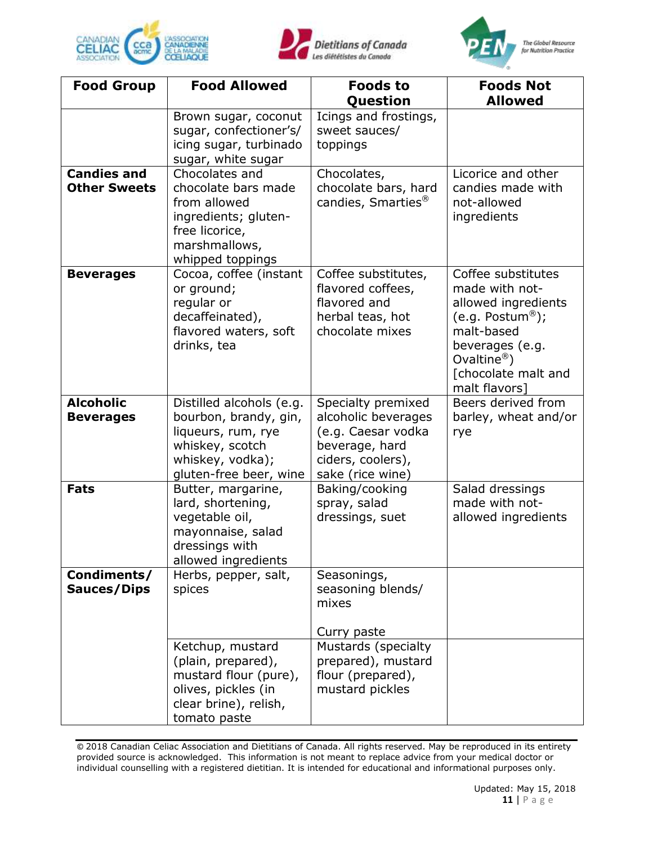





| <b>Food Group</b>                         | <b>Food Allowed</b>                                                                                                                      | <b>Foods to</b><br>Question                                                                                                | <b>Foods Not</b><br><b>Allowed</b>                                                                                                                                                 |
|-------------------------------------------|------------------------------------------------------------------------------------------------------------------------------------------|----------------------------------------------------------------------------------------------------------------------------|------------------------------------------------------------------------------------------------------------------------------------------------------------------------------------|
|                                           | Brown sugar, coconut<br>sugar, confectioner's/<br>icing sugar, turbinado<br>sugar, white sugar                                           | Icings and frostings,<br>sweet sauces/<br>toppings                                                                         |                                                                                                                                                                                    |
| <b>Candies and</b><br><b>Other Sweets</b> | Chocolates and<br>chocolate bars made<br>from allowed<br>ingredients; gluten-<br>free licorice,<br>marshmallows,<br>whipped toppings     | Chocolates,<br>chocolate bars, hard<br>candies, Smarties <sup>®</sup>                                                      | Licorice and other<br>candies made with<br>not-allowed<br>ingredients                                                                                                              |
| <b>Beverages</b>                          | Cocoa, coffee (instant<br>or ground;<br>regular or<br>decaffeinated),<br>flavored waters, soft<br>drinks, tea                            | Coffee substitutes,<br>flavored coffees,<br>flavored and<br>herbal teas, hot<br>chocolate mixes                            | Coffee substitutes<br>made with not-<br>allowed ingredients<br>(e.g. Postum®);<br>malt-based<br>beverages (e.g.<br>Ovaltine <sup>®</sup> )<br>[chocolate malt and<br>malt flavors] |
| <b>Alcoholic</b><br><b>Beverages</b>      | Distilled alcohols (e.g.<br>bourbon, brandy, gin,<br>liqueurs, rum, rye<br>whiskey, scotch<br>whiskey, vodka);<br>gluten-free beer, wine | Specialty premixed<br>alcoholic beverages<br>(e.g. Caesar vodka<br>beverage, hard<br>ciders, coolers),<br>sake (rice wine) | Beers derived from<br>barley, wheat and/or<br>rye                                                                                                                                  |
| <b>Fats</b>                               | Butter, margarine,<br>lard, shortening,<br>vegetable oil,<br>mayonnaise, salad<br>dressings with<br>allowed ingredients                  | Baking/cooking<br>spray, salad<br>dressings, suet                                                                          | Salad dressings<br>made with not-<br>allowed ingredients                                                                                                                           |
| Condiments/<br><b>Sauces/Dips</b>         | Herbs, pepper, salt,<br>spices                                                                                                           | Seasonings,<br>seasoning blends/<br>mixes<br>Curry paste                                                                   |                                                                                                                                                                                    |
|                                           | Ketchup, mustard<br>(plain, prepared),<br>mustard flour (pure),<br>olives, pickles (in<br>clear brine), relish,<br>tomato paste          | Mustards (specialty<br>prepared), mustard<br>flour (prepared),<br>mustard pickles                                          |                                                                                                                                                                                    |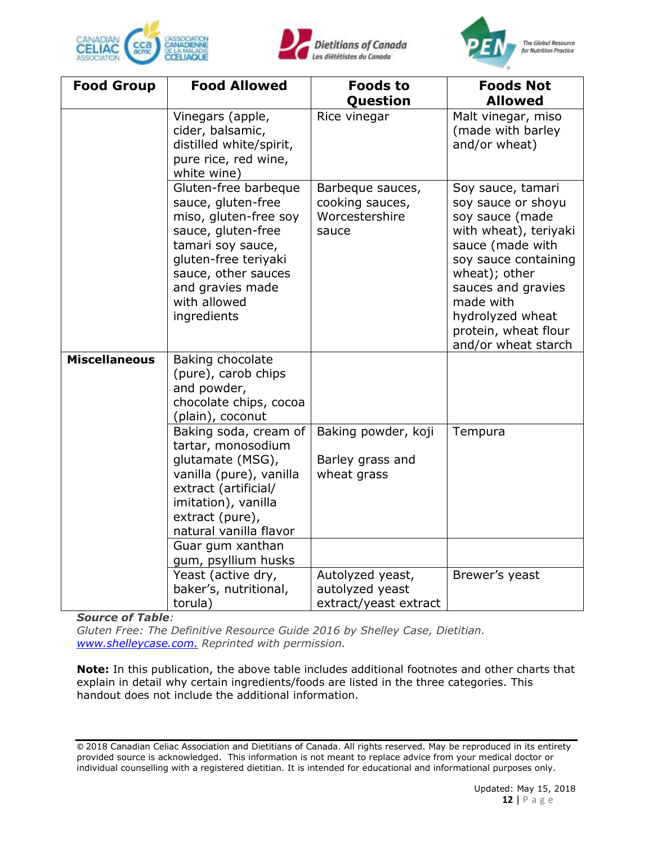





The Global Resource for Nutrition Practice

| <b>Food Group</b>    | <b>Food Allowed</b>                                                                                                                                                                                              | <b>Foods to</b>                                                | <b>Foods Not</b>                                                                                                                                                                                                                                       |
|----------------------|------------------------------------------------------------------------------------------------------------------------------------------------------------------------------------------------------------------|----------------------------------------------------------------|--------------------------------------------------------------------------------------------------------------------------------------------------------------------------------------------------------------------------------------------------------|
|                      |                                                                                                                                                                                                                  | Question                                                       | <b>Allowed</b>                                                                                                                                                                                                                                         |
|                      | Vinegars (apple,<br>cider, balsamic,<br>distilled white/spirit,<br>pure rice, red wine,<br>white wine)                                                                                                           | Rice vinegar                                                   | Malt vinegar, miso<br>(made with barley<br>and/or wheat)                                                                                                                                                                                               |
|                      | Gluten-free barbeque<br>sauce, gluten-free<br>miso, gluten-free soy<br>sauce, gluten-free<br>tamari soy sauce,<br>gluten-free teriyaki<br>sauce, other sauces<br>and gravies made<br>with allowed<br>ingredients | Barbeque sauces,<br>cooking sauces,<br>Worcestershire<br>sauce | Soy sauce, tamari<br>soy sauce or shoyu<br>soy sauce (made<br>with wheat), teriyaki<br>sauce (made with<br>soy sauce containing<br>wheat); other<br>sauces and gravies<br>made with<br>hydrolyzed wheat<br>protein, wheat flour<br>and/or wheat starch |
| <b>Miscellaneous</b> | Baking chocolate<br>(pure), carob chips<br>and powder,<br>chocolate chips, cocoa<br>(plain), coconut                                                                                                             |                                                                |                                                                                                                                                                                                                                                        |
|                      | Baking soda, cream of<br>tartar, monosodium<br>glutamate (MSG),<br>vanilla (pure), vanilla<br>extract (artificial/<br>imitation), vanilla<br>extract (pure),<br>natural vanilla flavor                           | Baking powder, koji<br>Barley grass and<br>wheat grass         | Tempura                                                                                                                                                                                                                                                |
|                      | Guar gum xanthan<br>gum, psyllium husks                                                                                                                                                                          |                                                                |                                                                                                                                                                                                                                                        |
|                      | Yeast (active dry,<br>baker's, nutritional,<br>torula)                                                                                                                                                           | Autolyzed yeast,<br>autolyzed yeast<br>extract/yeast extract   | Brewer's yeast                                                                                                                                                                                                                                         |

*Source of Table:*

*Gluten Free: The Definitive Resource Guide 2016 by Shelley Case, Dietitian. [www.shelleycase.com.](http://www.shelleycase.com/) Reprinted with permission.*

**Note:** In this publication, the above table includes additional footnotes and other charts that explain in detail why certain ingredients/foods are listed in the three categories. This handout does not include the additional information.